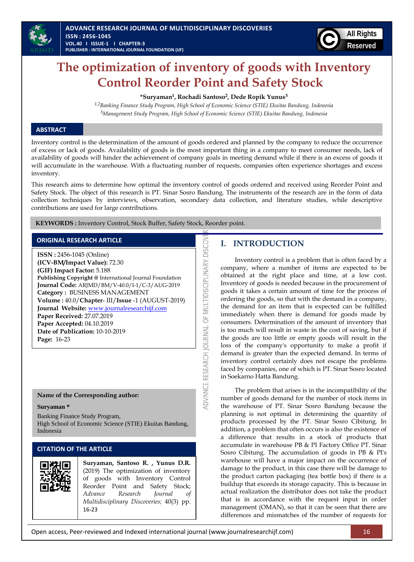

## **The optimization of inventory of goods with Inventory Control Reorder Point and Safety Stock**

#### **\*Suryaman<sup>1</sup> , Rochadi Santoso<sup>2</sup> , Dede Ropik Yunus<sup>3</sup>**

*1,2Banking Finance Study Program, High School of Economic Science (STIE) Ekuitas Bandung, Indonesia <sup>3</sup>Management Study Program, High School of Economic Science (STIE) Ekuitas Bandung, Indonesia*

#### **ABSTRACT**

Inventory control is the determination of the amount of goods ordered and planned by the company to reduce the occurrence of excess or lack of goods. Availability of goods is the most important thing in a company to meet consumer needs, lack of availability of goods will hinder the achievement of company goals in meeting demand while if there is an excess of goods it will accumulate in the warehouse. With a fluctuating number of requests, companies often experience shortages and excess inventory.

This research aims to determine how optimal the inventory control of goods ordered and received using Reorder Point and Safety Stock. The object of this research is PT. Sinar Sosro Bandung. The instruments of the research are in the form of data collection techniques by interviews, observation, secondary data collection, and literature studies, while descriptive contributions are used for large contributions.

OF MULTIDISCIPLINARY DISCOV

**ADVANCE RESEARCH JOURNAL** 

**KEYWORDS :** Inventory Control, Stock Buffer, Safety Stock, Reorder point.

#### **ORIGINAL RESEARCH ARTICLE**

**ISSN :** 2456-1045 (Online) **(ICV-BM/Impact Value):** 72.30 **(GIF) Impact Factor:** 5.188 **Publishing Copyright @** International Journal Foundation **Journal Code:** ARJMD/BM/V-40.0/I-1/C-3/AUG-2019 **Category :** BUSINESS MANAGEMENT **Volume :** 40.0/**Chapter**- III/**Issue** -1 (AUGUST-2019) **Journal Website:** [www.journalresearchijf.com](http://www.journalresearchijf.com/) **Paper Received:** 27.07.2019 **Paper Accepted:** 04.10.2019 **Date of Publication:** 10-10-2019 **Page:** 16-23

#### **Name of the Corresponding author:**

#### **Suryaman \***

Banking Finance Study Program, High School of Economic Science (STIE) Ekuitas Bandung, Indonesia

#### **CITATION OF THE ARTICLE**



**Suryaman, Santoso R. , Yunus D.R.** (2019) The optimization of inventory of goods with Inventory Control Reorder Point and Safety Stock; *Advance Research Journal of Multidisciplinary Discoveries;* 40(3) pp. 16-23

### **I. INTRODUCTION**

Inventory control is a problem that is often faced by a company, where a number of items are expected to be obtained at the right place and time, at a low cost. Inventory of goods is needed because in the procurement of goods it takes a certain amount of time for the process of ordering the goods, so that with the demand in a company, the demand for an item that is expected can be fulfilled immediately when there is demand for goods made by consumers. Determination of the amount of inventory that is too much will result in waste in the cost of saving, but if the goods are too little or empty goods will result in the loss of the company's opportunity to make a profit if demand is greater than the expected demand. In terms of inventory control certainly does not escape the problems faced by companies, one of which is PT. Sinar Sosro located in Soekarno Hatta Bandung.

The problem that arises is in the incompatibility of the number of goods demand for the number of stock items in the warehouse of PT. Sinar Sosro Bandung because the planning is not optimal in determining the quantity of products processed by the PT. Sinar Sosro Cibitung. In addition, a problem that often occurs is also the existence of a difference that results in a stock of products that accumulate in warehouse PB & PI Factory Office PT. Sinar Sosro Cibitung. The accumulation of goods in PB & PI's warehouse will have a major impact on the occurrence of damage to the product, in this case there will be damage to the product carton packaging (tea bottle box) if there is a buildup that exceeds its storage capacity. This is because in actual realization the distributor does not take the product that is in accordance with the request input in order management (OMAN), so that it can be seen that there are differences and mismatches of the number of requests for

Open access, Peer-reviewed and Indexed international journal (www.journalresearchijf.com) 16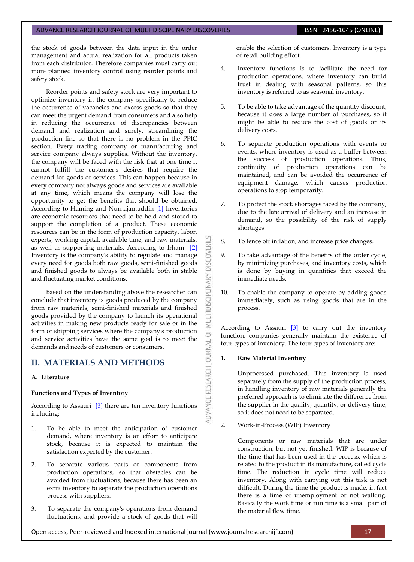the stock of goods between the data input in the order management and actual realization for all products taken from each distributor. Therefore companies must carry out more planned inventory control using reorder points and safety stock.

Reorder points and safety stock are very important to optimize inventory in the company specifically to reduce the occurrence of vacancies and excess goods so that they can meet the urgent demand from consumers and also help in reducing the occurrence of discrepancies between demand and realization and surely, streamlining the production line so that there is no problem in the PPIC section. Every trading company or manufacturing and service company always supplies. Without the inventory, the company will be faced with the risk that at one time it cannot fulfill the customer's desires that require the demand for goods or services. This can happen because in every company not always goods and services are available at any time, which means the company will lose the opportunity to get the benefits that should be obtained. According to Haming and Nurnajamuddin [\[1\]](#page-7-0) Inventories are economic resources that need to be held and stored to support the completion of a product. These economic resources can be in the form of production capacity, labor, experts, working capital, available time, and raw materials, as well as supporting materials. According to Irham [\[2\]](#page-7-1) Inventory is the company's ability to regulate and manage every need for goods both raw goods, semi-finished goods and finished goods to always be available both in stable and fluctuating market conditions.

Based on the understanding above the researcher can conclude that inventory is goods produced by the company from raw materials, semi-finished materials and finished goods provided by the company to launch its operational activities in making new products ready for sale or in the form of shipping services where the company's production and service activities have the same goal is to meet the demands and needs of customers or consumers.

### **II. MATERIALS AND METHODS**

#### **A. Literature**

#### **Functions and Types of Inventory**

According to Assauri  $\left[3\right]$  there are ten inventory functions including:

- 1. To be able to meet the anticipation of customer demand, where inventory is an effort to anticipate stock, because it is expected to maintain the satisfaction expected by the customer.
- 2. To separate various parts or components from production operations, so that obstacles can be avoided from fluctuations, because there has been an extra inventory to separate the production operations process with suppliers.
- 3. To separate the company's operations from demand fluctuations, and provide a stock of goods that will

enable the selection of customers. Inventory is a type of retail building effort.

- 4. Inventory functions is to facilitate the need for production operations, where inventory can build trust in dealing with seasonal patterns, so this inventory is referred to as seasonal inventory.
- 5. To be able to take advantage of the quantity discount, because it does a large number of purchases, so it might be able to reduce the cost of goods or its delivery costs.
- 6. To separate production operations with events or events, where inventory is used as a buffer between the success of production operations. Thus, continuity of production operations can be maintained, and can be avoided the occurrence of equipment damage, which causes production operations to stop temporarily.
- 7. To protect the stock shortages faced by the company, due to the late arrival of delivery and an increase in demand, so the possibility of the risk of supply shortages.
- 8. To fence off inflation, and increase price changes.
- 9. To take advantage of the benefits of the order cycle, by minimizing purchases, and inventory costs, which is done by buying in quantities that exceed the immediate needs.
- 10. To enable the company to operate by adding goods immediately, such as using goods that are in the process.

According to Assauri [\[3\]](#page-7-2) to carry out the inventory function, companies generally maintain the existence of four types of inventory. The four types of inventory are:

#### **1. Raw Material Inventory**

**DISCOVERI** 

**INARY** 

LTIDISCIPLI

MU  $\overline{6}$ 

**IDVANCE RESEARCH JOURNAL** 

Unprocessed purchased. This inventory is used separately from the supply of the production process, in handling inventory of raw materials generally the preferred approach is to eliminate the difference from the supplier in the quality, quantity, or delivery time, so it does not need to be separated.

2. Work-in-Process (WIP) Inventory

Components or raw materials that are under construction, but not yet finished. WIP is because of the time that has been used in the process, which is related to the product in its manufacture, called cycle time. The reduction in cycle time will reduce inventory. Along with carrying out this task is not difficult. During the time the product is made, in fact there is a time of unemployment or not walking. Basically the work time or run time is a small part of the material flow time.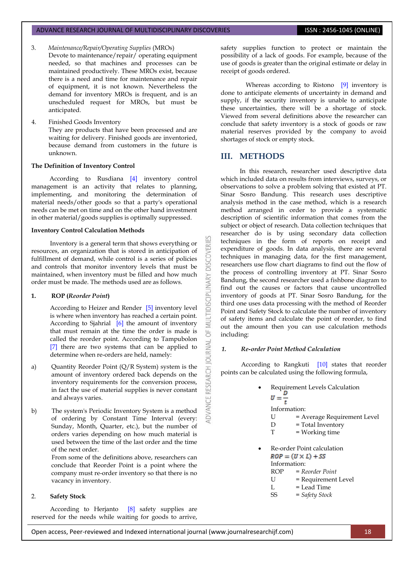- 3. *Maintenance/Repair/Operating Supplies* (MROs)
	- Devote to maintenance/repair/ operating equipment needed, so that machines and processes can be maintained productively. These MROs exist, because there is a need and time for maintenance and repair of equipment, it is not known. Nevertheless the demand for inventory MROs is frequent, and is an unscheduled request for MROs, but must be anticipated.
- 4. Finished Goods Inventory They are products that have been processed and are waiting for delivery. Finished goods are inventoried, because demand from customers in the future is unknown.

#### **The Definition of Inventory Control**

According to Rusdiana [\[4\]](#page-7-3) inventory control management is an activity that relates to planning, implementing, and monitoring the determination of material needs/other goods so that a party's operational needs can be met on time and on the other hand investment in other material/goods supplies is optimally suppressed.

#### **Inventory Control Calculation Methods**

Inventory is a general term that shows everything or resources, an organization that is stored in anticipation of fulfillment of demand, while control is a series of policies and controls that monitor inventory levels that must be maintained, when inventory must be filled and how much order must be made. The methods used are as follows.

#### **1. ROP (***Reorder Point***)**

According to Heizer and Render [\[5\]](#page-7-4) inventory level is where when inventory has reached a certain point. According to Sjahrial [\[6\]](#page-7-5) the amount of inventory that must remain at the time the order is made is called the reorder point. According to Tampubolon [\[7\]](#page-7-6) there are two systems that can be applied to determine when re-orders are held, namely:

- a) Quantity Reorder Point (Q/R System) system is the amount of inventory ordered back depends on the inventory requirements for the conversion process, in fact the use of material supplies is never constant and always varies.
- b) The system's Periodic Inventory System is a method of ordering by Constant Time Interval (every: Sunday, Month, Quarter, etc.), but the number of orders varies depending on how much material is used between the time of the last order and the time of the next order.

From some of the definitions above, researchers can conclude that Reorder Point is a point where the company must re-order inventory so that there is no vacancy in inventory.

#### 2. **Safety Stock**

According to Herjanto [\[8\]](#page-7-7) safety supplies are reserved for the needs while waiting for goods to arrive, safety supplies function to protect or maintain the possibility of a lack of goods. For example, because of the use of goods is greater than the original estimate or delay in receipt of goods ordered.

Whereas according to Ristono [\[9\]](#page-7-8) inventory is done to anticipate elements of uncertainty in demand and supply, if the security inventory is unable to anticipate these uncertainties, there will be a shortage of stock. Viewed from several definitions above the researcher can conclude that safety inventory is a stock of goods or raw material reserves provided by the company to avoid shortages of stock or empty stock.

#### **III. METHODS**

**DISCOVERI** 

INARY

**DISCIPL** 

5F **JRNAL** DOI

ADVANCE RESEARCH

In this research, researcher used descriptive data which included data on results from interviews, surveys, or observations to solve a problem solving that existed at PT. Sinar Sosro Bandung. This research uses descriptive analysis method in the case method, which is a research method arranged in order to provide a systematic description of scientific information that comes from the subject or object of research. Data collection techniques that researcher do is by using secondary data collection techniques in the form of reports on receipt and expenditure of goods. In data analysis, there are several techniques in managing data, for the first management, researchers use flow chart diagrams to find out the flow of the process of controlling inventory at PT. Sinar Sosro Bandung, the second researcher used a fishbone diagram to find out the causes or factors that cause uncontrolled inventory of goods at PT. Sinar Sosro Bandung, for the third one uses data processing with the method of Reorder Point and Safety Stock to calculate the number of inventory of safety items and calculate the point of reorder, to find out the amount then you can use calculation methods including:

#### *1. Re-order Point Method Calculation*

According to Rangkuti [\[10\]](#page-7-9) states that reorder points can be calculated using the following formula,

- Requirement Levels Calculation<br> $U = \frac{D}{t}$ Information: U = Average Requirement Level  $D = Total Inventory$  $T = Working time$  Re-order Point calculation  $ROP = (U \times L) + SS$ Information: ROP = *Reorder Point*
	- U = Requirement Level
	- $L =$ Lead Time
	- SS = *Safety Stock*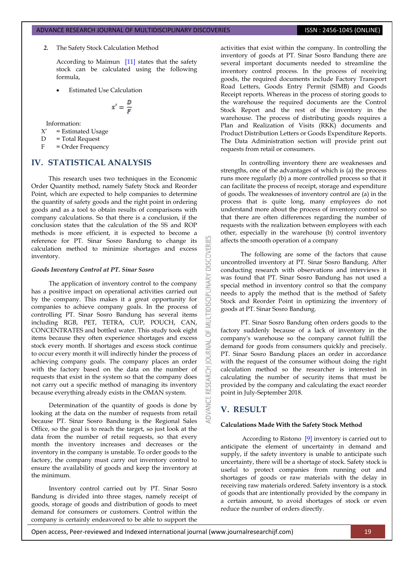#### *2.* The Safety Stock Calculation Method

According to Maimun [\[11\]](#page-7-10) states that the safety stock can be calculated using the following formula,

Estimated Use Calculation

$$
x'=\frac{D}{F}
$$

Information:

 $X'$  = Estimated Usage

D = Total Request

F = Order Frequency

### **IV. STATISTICAL ANALYSIS**

This research uses two techniques in the Economic Order Quantity method, namely Safety Stock and Reorder Point, which are expected to help companies to determine the quantity of safety goods and the right point in ordering goods and as a tool to obtain results of comparisons with company calculations. So that there is a conclusion, if the conclusion states that the calculation of the SS and ROP methods is more efficient, it is expected to become a reference for PT. Sinar Sosro Bandung to change its calculation method to minimize shortages and excess inventory.

#### *Goods Inventory Control at PT. Sinar Sosro*

The application of inventory control to the company has a positive impact on operational activities carried out by the company. This makes it a great opportunity for companies to achieve company goals. In the process of controlling PT. Sinar Sosro Bandung has several items including RGB, PET, TETRA, CUP, POUCH, CAN, CONCENTRATES and bottled water. This study took eight items because they often experience shortages and excess stock every month. If shortages and excess stock continue to occur every month it will indirectly hinder the process of achieving company goals. The company places an order with the factory based on the data on the number of requests that exist in the system so that the company does not carry out a specific method of managing its inventory because everything already exists in the OMAN system.

Determination of the quantity of goods is done by looking at the data on the number of requests from retail because PT. Sinar Sosro Bandung is the Regional Sales Office, so the goal is to reach the target, so just look at the data from the number of retail requests, so that every month the inventory increases and decreases or the inventory in the company is unstable. To order goods to the factory, the company must carry out inventory control to ensure the availability of goods and keep the inventory at the minimum.

Inventory control carried out by PT. Sinar Sosro Bandung is divided into three stages, namely receipt of goods, storage of goods and distribution of goods to meet demand for consumers or customers. Control within the company is certainly endeavored to be able to support the activities that exist within the company. In controlling the inventory of goods at PT. Sinar Sosro Bandung there are several important documents needed to streamline the inventory control process. In the process of receiving goods, the required documents include Factory Transport Road Letters, Goods Entry Permit (SIMB) and Goods Receipt reports. Whereas in the process of storing goods to the warehouse the required documents are the Control Stock Report and the rest of the inventory in the warehouse. The process of distributing goods requires a Plan and Realization of Visits (RKK) documents and Product Distribution Letters or Goods Expenditure Reports. The Data Administration section will provide print out requests from retail or consumers.

In controlling inventory there are weaknesses and strengths, one of the advantages of which is (a) the process runs more regularly (b) a more controlled process so that it can facilitate the process of receipt, storage and expenditure of goods. The weaknesses of inventory control are (a) in the process that is quite long, many employees do not understand more about the process of inventory control so that there are often differences regarding the number of requests with the realization between employees with each other, especially in the warehouse (b) control inventory affects the smooth operation of a company

The following are some of the factors that cause uncontrolled inventory at PT. Sinar Sosro Bandung. After conducting research with observations and interviews it was found that PT. Sinar Sosro Bandung has not used a special method in inventory control so that the company needs to apply the method that is the method of Safety Stock and Reorder Point in optimizing the inventory of goods at PT. Sinar Sosro Bandung.

PT. Sinar Sosro Bandung often orders goods to the factory suddenly because of a lack of inventory in the company's warehouse so the company cannot fulfill the demand for goods from consumers quickly and precisely. PT. Sinar Sosro Bandung places an order in accordance with the request of the consumer without doing the right calculation method so the researcher is interested in calculating the number of security items that must be provided by the company and calculating the exact reorder point in July-September 2018.

#### **V. RESULT**

**DISCOVERI** 

**LTIDISCIPLINARY** 

**IRNAL** ē

**ADVANCE** 

#### **Calculations Made With the Safety Stock Method**

According to Ristono [\[9\]](#page-7-8) inventory is carried out to anticipate the element of uncertainty in demand and supply, if the safety inventory is unable to anticipate such uncertainty, there will be a shortage of stock. Safety stock is useful to protect companies from running out and shortages of goods or raw materials with the delay in receiving raw materials ordered. Safety inventory is a stock of goods that are intentionally provided by the company in a certain amount, to avoid shortages of stock or even reduce the number of orders directly.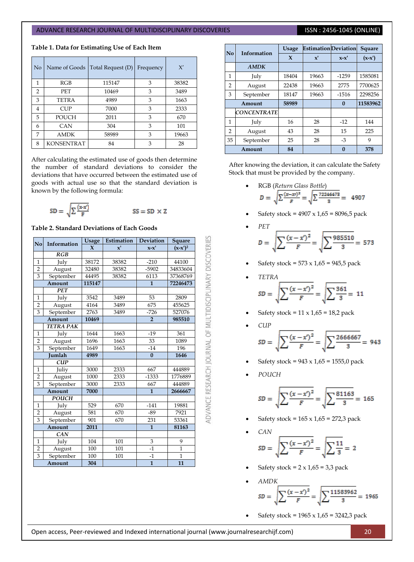|  | Table 1. Data for Estimating Use of Each Item |  |  |  |  |  |  |  |  |
|--|-----------------------------------------------|--|--|--|--|--|--|--|--|
|--|-----------------------------------------------|--|--|--|--|--|--|--|--|

| N <sub>o</sub> | Name of Goods     | Total Request (D) | Frequency | X'    |
|----------------|-------------------|-------------------|-----------|-------|
| 1              | RGB               | 115147            | 3         | 38382 |
| $\overline{2}$ | <b>PET</b>        | 10469             | 3         | 3489  |
| 3              | <b>TETRA</b>      | 4989              | 3         | 1663  |
| 4              | <b>CUP</b>        | 7000              | 3         | 2333  |
| 5              | <b>POUCH</b>      | 2011              | 3         | 670   |
| 6              | <b>CAN</b>        | 304               | 3         | 101   |
| 7              | <b>AMDK</b>       | 58989             | 3         | 19663 |
| 8              | <b>KONSENTRAT</b> | 84                | 3         | 28    |

After calculating the estimated use of goods then determine the number of standard deviations to consider the deviations that have occurred between the estimated use of goods with actual use so that the standard deviation is known by the following formula:

$$
SD = \sqrt{\sum \frac{(x \cdot x')}{F}}
$$
  $SS = SD \times Z$ 

**Table 2. Standard Deviations of Each Goods**

| N <sub>0</sub> | Information      | <b>Usage</b> | Estimation            | Deviation      | Square         |
|----------------|------------------|--------------|-----------------------|----------------|----------------|
|                |                  | $\mathbf{x}$ | $\mathbf{x}^{\prime}$ | $x-x'$         | $(x-x')^2$     |
|                | RGB              |              |                       |                |                |
| $\mathbf{1}$   | July             | 38172        | 38382                 | $-210$         | 44100          |
| $\overline{2}$ | August           | 32480        | 38382                 | $-5902$        | 34833604       |
| $\overline{3}$ | September        | 44495        | 38382                 | 6113           | 37368769       |
|                | Amount           | 115147       |                       | $\mathbf{1}$   | 72246473       |
|                | <b>PET</b>       |              |                       |                |                |
| $\mathbf{1}$   | July             | 3542         | 3489                  | 53             | 2809           |
| $\overline{2}$ | August           | 4164         | 3489                  | 675            | 455625         |
| $\overline{3}$ | September        | 2763         | 3489                  | $-726$         | 527076         |
|                | Amount           | 10469        |                       | $\overline{2}$ | 985510         |
|                | <b>TETRA PAK</b> |              |                       |                |                |
| $\mathbf{1}$   | July             | 1644         | 1663                  | $-19$          | 361            |
| $\overline{2}$ | August           | 1696         | 1663                  | 33             | 1089           |
| 3              | September        | 1649         | 1663                  | $-14$          | 196            |
|                | <b>Iumlah</b>    | 4989         |                       | $\bf{0}$       | 1646           |
|                | <b>CUP</b>       |              |                       |                |                |
| $\mathbf{1}$   | Juliy            | 3000         | 2333                  | 667            | 444889         |
| $\overline{2}$ | August           | 1000         | 2333                  | $-1333$        | 1776889        |
| $\overline{3}$ | September        | 3000         | 2333                  | 667            | 444889         |
|                | Amount           | 7000         |                       | $\mathbf{1}$   | 2666667        |
|                | <b>POUCH</b>     |              |                       |                |                |
| $\mathbf{1}$   | July             | 529          | 670                   | $-141$         | 19881          |
| $\overline{2}$ | August           | 581          | 670                   | $-89$          | 7921           |
| 3              | September        | 901          | 670                   | 231            | 53361          |
| Amount         |                  | 2011         |                       | $\mathbf{1}$   | 81163          |
|                | CAN              |              |                       |                |                |
| $\mathbf{1}$   | July             | 104          | 101                   | 3              | 9              |
| $\overline{2}$ | August           | 100          | 101                   | $-1$           | $\overline{1}$ |
| 3              | September        | 100          | 101                   | $-1$           | $\mathbf{1}$   |
|                | Amount           | 304          |                       | $\mathbf{1}$   | 11             |

| Information<br>N <sub>0</sub> |                    | <b>Usage</b> | <b>Estimation</b> Deviation |          | Square   |
|-------------------------------|--------------------|--------------|-----------------------------|----------|----------|
|                               |                    | $\mathbf x$  | $\mathbf{x}$                | $x-x'$   | $(x-x')$ |
| <b>AMDK</b>                   |                    |              |                             |          |          |
| 1                             | July               | 18404        | 19663                       | $-1259$  | 1585081  |
| $\overline{2}$                | August             | 22438        | 19663                       | 2775     | 7700625  |
| 3                             | September          | 18147        | 19663                       | $-1516$  | 2298256  |
| Amount                        |                    | 58989        |                             | $\bf{0}$ | 11583962 |
|                               | <b>CONCENTRATE</b> |              |                             |          |          |
| $\mathbf{1}$                  | July               | 16           | 28                          | $-12$    | 144      |
| 2                             | August             | 43           | 28                          | 15       | 225      |
| 35                            | September          | 25           | 28                          | $-3$     | 9        |
|                               | Amount             | 84           |                             | $\Omega$ | 378      |

After knowing the deviation, it can calculate the Safety Stock that must be provided by the company.

• RGB (Return Glass Bottle)  

$$
D = \sqrt{\sum \frac{(x - xv)^2}{F}} = \sqrt{\sum \frac{72246473}{3}} = 4907
$$

Safety stock =  $4907 \times 1,65 = 8096,5$  pack

• 
$$
DET = \sqrt{\sum \frac{(x - x')^2}{F}} = \sqrt{\sum \frac{985510}{3}} = 573
$$

Safety stock =  $573 \times 1,65 = 945,5$  pack

• 
$$
TETRA
$$

$$
SD = \sqrt{\sum \frac{(x - x')^2}{F}} = \sqrt{\sum \frac{361}{3}} = 11
$$

Safety stock =  $11 \times 1,65 = 18,2$  pack

• 
$$
CUP
$$
  
\n $SD = \sqrt{\sum \frac{(x - x')^2}{F}} = \sqrt{\sum \frac{2666667}{3}} = 943$ 

Safety stock =  $943 \times 1,65 = 1555,0$  pack

*POUCH*

$$
SD = \sqrt{\sum \frac{(x - x')^2}{F}} = \sqrt{\sum \frac{81163}{3}} = 165
$$

- Safety stock =  $165 \times 1,65 = 272,3$  pack
- *CAN*  $SD = \sqrt{\sum \frac{(x-x')^2}{F}} = \sqrt{\sum \frac{11}{3}} = 2$
- Safety stock =  $2 \times 1,65 = 3,3$  pack
- *AMDK*  $SD = \sqrt{\sum \frac{(x - x')^2}{F}} = \sqrt{\sum \frac{11583962}{3}} = 1965$
- Safety stock =  $1965 \times 1,65 = 3242,3$  pack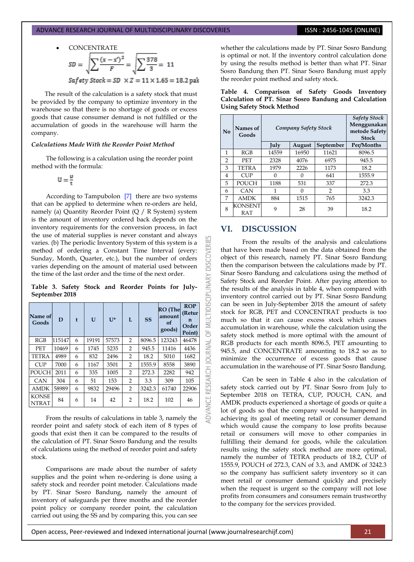# CONCENTRATE<br> $SD = \sqrt{\sum \frac{(x - x')^2}{F}} = \sqrt{\sum \frac{378}{3}} = 11$ Safety Stock =  $SD \times Z = 11 \times 1.65 = 18.2$  pak

The result of the calculation is a safety stock that must be provided by the company to optimize inventory in the warehouse so that there is no shortage of goods or excess goods that cause consumer demand is not fulfilled or the accumulation of goods in the warehouse will harm the company.

#### *Calculations Made With the Reorder Point Method*

The following is a calculation using the reorder point method with the formula:

$$
U=\frac{\nu}{r}
$$

According to Tampubolon [\[7\]](#page-7-6) there are two systems that can be applied to determine when re-orders are held, namely (a) Quantity Reorder Point (Q / R System) system is the amount of inventory ordered back depends on the inventory requirements for the conversion process, in fact the use of material supplies is never constant and always varies. (b) The periodic Inventory System of this system is a method of ordering a Constant Time Interval (every: Sunday, Month, Quarter, etc.), but the number of orders varies depending on the amount of material used between the time of the last order and the time of the next order.

**Table 3. Safety Stock and Reorder Points for July-September 2018**

| Name of<br>Goods             | D      | ł | U     | $U^*$ | L              | <b>SS</b> | <b>RO</b> (The<br>amount<br>of<br>goods) | <b>ROP</b><br>(Retur<br>n<br>Order<br>Point) |
|------------------------------|--------|---|-------|-------|----------------|-----------|------------------------------------------|----------------------------------------------|
| RGB                          | 115147 | 6 | 19191 | 57573 | $\overline{2}$ | 8096.5    | 123243                                   | 46478                                        |
| PET                          | 10469  | 6 | 1745  | 5235  | $\overline{2}$ | 945.5     | 11416                                    | 4436                                         |
| <b>TETRA</b>                 | 4989   | 6 | 832   | 2496  | $\overline{2}$ | 18.2      | 5010                                     | 1682                                         |
| <b>CUP</b>                   | 7000   | 6 | 1167  | 3501  | $\overline{2}$ | 1555.9    | 8558                                     | 3890                                         |
| <b>POUCH</b>                 | 2011   | 6 | 335   | 1005  | $\overline{2}$ | 272.3     | 2282                                     | 942                                          |
| <b>CAN</b>                   | 304    | 6 | 51    | 153   | $\overline{2}$ | 3.3       | 309                                      | 105                                          |
| <b>AMDK</b>                  | 58989  | 6 | 9832  | 29496 | $\overline{2}$ | 3242.3    | 61740                                    | 22906                                        |
| <b>KONSE</b><br><b>NTRAT</b> | 84     | 6 | 14    | 42    | $\overline{2}$ | 18.2      | 102                                      | 46                                           |

From the results of calculations in table 3, namely the reorder point and safety stock of each item of 8 types of goods that exist then it can be compared to the results of the calculation of PT. Sinar Sosro Bandung and the results of calculations using the method of reorder point and safety stock.

Comparisons are made about the number of safety supplies and the point when re-ordering is done using a safety stock and reorder point metoder. Calculations made by PT. Sinar Sosro Bandung, namely the amount of inventory of safeguards per three months and the reorder point policy or company reorder point, the calculation carried out using the SS and by comparing this, you can see whether the calculations made by PT. Sinar Sosro Bandung is optimal or not. If the inventory control calculation done by using the results method is better than what PT. Sinar Sosro Bandung then PT. Sinar Sosro Bandung must apply the reorder point method and safety stock.

| $\mathbf{N}\mathbf{0}$ | Names of<br>Goods     |       | <b>Safety Stock</b><br>Menggunakan<br>Company Safety Stock<br>metode Safety<br><b>Stock</b> |               |            |
|------------------------|-----------------------|-------|---------------------------------------------------------------------------------------------|---------------|------------|
|                        |                       | July  | August                                                                                      | September     | Per/Months |
| $\mathbf{1}$           | RGB                   | 14559 | 16950                                                                                       | 11621         | 8096.5     |
| 2                      | <b>PET</b>            | 2328  | 4076                                                                                        | 6975          | 945.5      |
| 3                      | <b>TETRA</b>          | 1979  | 2226                                                                                        | 1173          | 18.2       |
| 4                      | <b>CUP</b>            | 0     | $\Omega$                                                                                    | 641           | 1555.9     |
| 5                      | <b>POUCH</b>          | 1188  | 531                                                                                         | 337           | 272.3      |
| 6                      | CAN                   | 1     | 0                                                                                           | $\mathcal{P}$ | 3.3        |
| 7                      | <b>AMDK</b>           | 884   | 1515                                                                                        | 765           | 3242.3     |
| 8                      | <b>KONSENT</b><br>RAT | 9     | 28                                                                                          | 39            | 18.2       |

#### **Table 4. Comparison of Safety Goods Inventory Calculation of PT. Sinar Sosro Bandung and Calculation Using Safety Stock Method**

#### **VI. DISCUSSION**

**DISCOVER** 

OF MULTIDISCIPLINARY

DVANCE RESEARCH JOURNAL

From the results of the analysis and calculations that have been made based on the data obtained from the object of this research, namely PT. Sinar Sosro Bandung then the comparison between the calculations made by PT. Sinar Sosro Bandung and calculations using the method of Safety Stock and Reorder Point. After paying attention to the results of the analysis in table 4, when compared with inventory control carried out by PT. Sinar Sosro Bandung can be seen in July-September 2018 the amount of safety stock for RGB, PET and CONCENTRAT products is too much so that it can cause excess stock which causes accumulation in warehouse, while the calculation using the safety stock method is more optimal with the amount of RGB products for each month 8096.5, PET amounting to 945.5, and CONCENTRATE amounting to 18.2 so as to minimize the occurrence of excess goods that cause accumulation in the warehouse of PT. Sinar Sosro Bandung.

Can be seen in Table 4 also in the calculation of safety stock carried out by PT. Sinar Sosro from July to September 2018 on TETRA, CUP, POUCH, CAN, and AMDK products experienced a shortage of goods or quite a lot of goods so that the company would be hampered in achieving its goal of meeting retail or consumer demand which would cause the company to lose profits because retail or consumers will move to other companies in fulfilling their demand for goods, while the calculation results using the safety stock method are more optimal, namely the number of TETRA products of 18.2, CUP of 1555.9, POUCH of 272.3, CAN of 3.3, and AMDK of 3242.3 so the company has sufficient safety inventory so it can meet retail or consumer demand quickly and precisely when the request is urgent so the company will not lose profits from consumers and consumers remain trustworthy to the company for the services provided.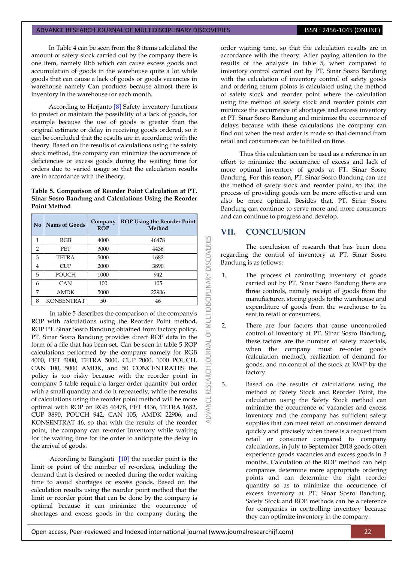In Table 4 can be seen from the 8 items calculated the amount of safety stock carried out by the company there is one item, namely Rbb which can cause excess goods and accumulation of goods in the warehouse quite a lot while goods that can cause a lack of goods or goods vacancies in warehouse namely Can products because almost there is inventory in the warehouse for each month.

According to Herjanto [\[8\]](#page-7-7) Safety inventory functions to protect or maintain the possibility of a lack of goods, for example because the use of goods is greater than the original estimate or delay in receiving goods ordered, so it can be concluded that the results are in accordance with the theory. Based on the results of calculations using the safety stock method, the company can minimize the occurrence of deficiencies or excess goods during the waiting time for orders due to varied usage so that the calculation results are in accordance with the theory.

#### **Table 5. Comparison of Reorder Point Calculation at PT. Sinar Sosro Bandung and Calculations Using the Reorder Point Method**

| No             | Nams of Goods     | Company<br><b>ROP</b> | <b>ROP Using the Reorder Point</b><br>Method |
|----------------|-------------------|-----------------------|----------------------------------------------|
| 1              | RGB               | 4000                  | 46478                                        |
| $\overline{2}$ | <b>PET</b>        | 3000                  | 4436                                         |
| 3              | <b>TETRA</b>      | 5000                  | 1682                                         |
| 4              | <b>CUP</b>        | 2000                  | 3890                                         |
| 5              | <b>POUCH</b>      | 1000                  | 942                                          |
| 6              | <b>CAN</b>        | 100                   | 105                                          |
| 7              | <b>AMDK</b>       | 5000                  | 22906                                        |
| 8              | <b>KONSENTRAT</b> | 50                    | 46                                           |

In table 5 describes the comparison of the company's ROP with calculations using the Reorder Point method, ROP PT. Sinar Sosro Bandung obtained from factory policy, PT. Sinar Sosro Bandung provides direct ROP data in the form of a file that has been set. Can be seen in table 5 ROP calculations performed by the company namely for RGB 4000, PET 3000, TETRA 5000, CUP 2000, 1000 POUCH, CAN 100, 5000 AMDK, and 50 CONCENTRATES the policy is too risky because with the reorder point in company 5 table require a larger order quantity but order with a small quantity and do it repeatedly, while the results of calculations using the reorder point method will be more optimal with ROP on RGB 46478, PET 4436, TETRA 1682, CUP 3890, POUCH 942, CAN 105, AMDK 22906, and KONSENTRAT 46, so that with the results of the reorder point, the company can re-order inventory while waiting for the waiting time for the order to anticipate the delay in the arrival of goods.

According to Rangkuti [\[10\]](#page-7-9) the reorder point is the limit or point of the number of re-orders, including the demand that is desired or needed during the order waiting time to avoid shortages or excess goods. Based on the calculation results using the reorder point method that the limit or reorder point that can be done by the company is optimal because it can minimize the occurrence of shortages and excess goods in the company during the order waiting time, so that the calculation results are in accordance with the theory. After paying attention to the results of the analysis in table 5, when compared to inventory control carried out by PT. Sinar Sosro Bandung with the calculation of inventory control of safety goods and ordering return points is calculated using the method of safety stock and reorder point where the calculation using the method of safety stock and reorder points can minimize the occurrence of shortages and excess inventory at PT. Sinar Sosro Bandung and minimize the occurrence of delays because with these calculations the company can find out when the next order is made so that demand from retail and consumers can be fulfilled on time.

Thus this calculation can be used as a reference in an effort to minimize the occurrence of excess and lack of more optimal inventory of goods at PT. Sinar Sosro Bandung. For this reason, PT. Sinar Sosro Bandung can use the method of safety stock and reorder point, so that the process of providing goods can be more effective and can also be more optimal. Besides that, PT. Sinar Sosro Bandung can continue to serve more and more consumers and can continue to progress and develop.

#### **VII. CONCLUSION**

MULTIDISCIPLINARY DISCOVERIES

 $\overline{6}$ 

RESEARCH JOURNAL

ADVANCE

The conclusion of research that has been done regarding the control of inventory at PT. Sinar Sosro Bandung is as follows:

- 1. The process of controlling inventory of goods carried out by PT. Sinar Sosro Bandung there are three controls, namely receipt of goods from the manufacturer, storing goods to the warehouse and expenditure of goods from the warehouse to be sent to retail or consumers.
- 2. There are four factors that cause uncontrolled control of inventory at PT. Sinar Sosro Bandung, these factors are the number of safety materials, when the company must re-order goods (calculation method), realization of demand for goods, and no control of the stock at KWP by the factory
- 3. Based on the results of calculations using the method of Safety Stock and Reorder Point, the calculation using the Safety Stock method can minimize the occurrence of vacancies and excess inventory and the company has sufficient safety supplies that can meet retail or consumer demand quickly and precisely when there is a request from retail or consumer compared to company calculations, in July to September 2018 goods often experience goods vacancies and excess goods in 3 months. Calculation of the ROP method can help companies determine more appropriate ordering points and can determine the right reorder quantity so as to minimize the occurrence of excess inventory at PT. Sinar Sosro Bandung. Safety Stock and ROP methods can be a reference for companies in controlling inventory because they can optimize inventory in the company.